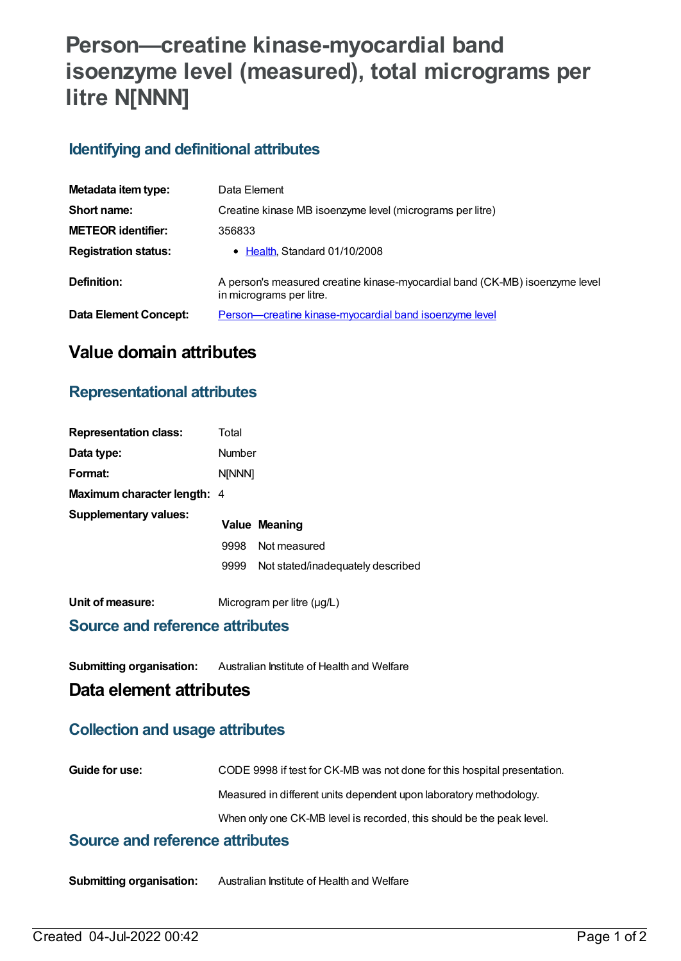# **Person—creatine kinase-myocardial band isoenzyme level (measured), total micrograms per litre N[NNN]**

## **Identifying and definitional attributes**

| Metadata item type:         | Data Element                                                                                            |
|-----------------------------|---------------------------------------------------------------------------------------------------------|
| Short name:                 | Creatine kinase MB isoenzyme level (micrograms per litre)                                               |
| <b>METEOR identifier:</b>   | 356833                                                                                                  |
| <b>Registration status:</b> | • Health, Standard 01/10/2008                                                                           |
| Definition:                 | A person's measured creatine kinase-myocardial band (CK-MB) isoenzyme level<br>in micrograms per litre. |
| Data Element Concept:       | Person-creatine kinase-myocardial band isoenzyme level                                                  |

# **Value domain attributes**

## **Representational attributes**

| <b>Representation class:</b> | Total  |                                   |
|------------------------------|--------|-----------------------------------|
| Data type:                   | Number |                                   |
| Format:                      | N[NNN] |                                   |
| Maximum character length: 4  |        |                                   |
| <b>Supplementary values:</b> |        | Value Meaning                     |
|                              | 9998   | Not measured                      |
|                              | 9999   | Not stated/inadequately described |
| Unit of measure:             |        | Microgram per litre $(\mu g/L)$   |

#### **Source and reference attributes**

**Submitting organisation:** Australian Institute of Health and Welfare

## **Data element attributes**

## **Collection and usage attributes**

| <b>Guide for use:</b> | CODE 9998 if test for CK-MB was not done for this hospital presentation. |
|-----------------------|--------------------------------------------------------------------------|
|                       | Measured in different units dependent upon laboratory methodology.       |
|                       | When only one CK-MB level is recorded, this should be the peak level.    |

### **Source and reference attributes**

**Submitting organisation:** Australian Institute of Health and Welfare